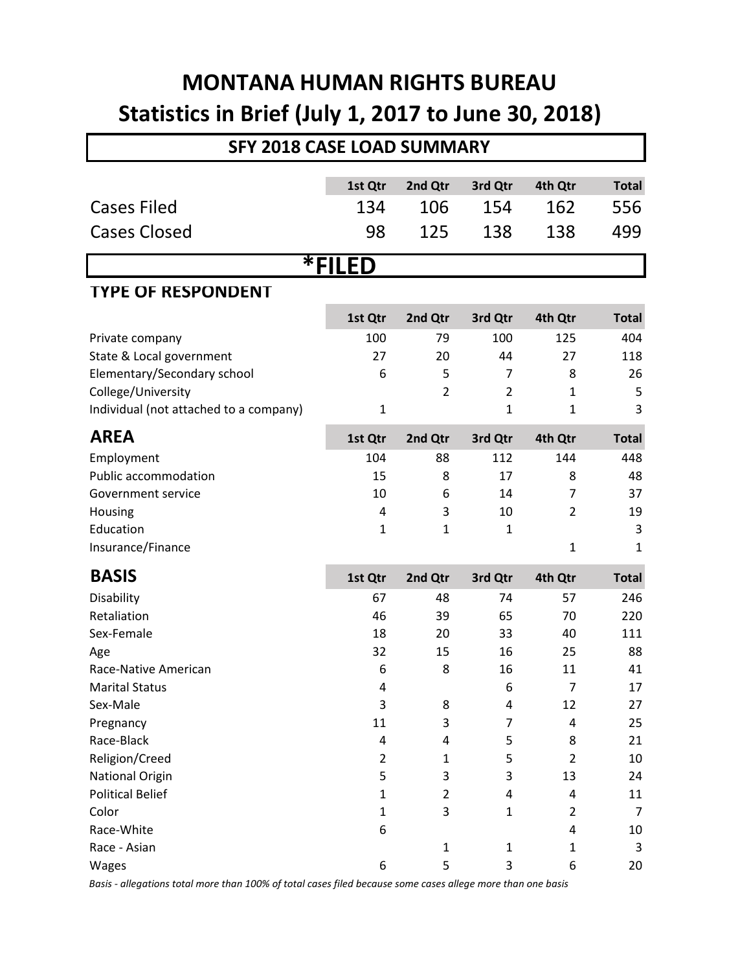## **MONTANA HUMAN RIGHTS BUREAU Statistics in Brief (July 1, 2017 to June 30, 2018)**

| <b>SFY 2018 CASE LOAD SUMMARY</b>      |                |                |                |                |                |  |  |
|----------------------------------------|----------------|----------------|----------------|----------------|----------------|--|--|
|                                        | 1st Qtr        | 2nd Qtr        | 3rd Qtr        | 4th Qtr        | <b>Total</b>   |  |  |
| <b>Cases Filed</b>                     | 134            | 106            | 154            | 162            | 556            |  |  |
|                                        |                |                |                |                |                |  |  |
| <b>Cases Closed</b>                    | 98             | 125            | 138            | 138            | 499            |  |  |
| <b>*FILED</b>                          |                |                |                |                |                |  |  |
| <b>TYPE OF RESPONDENT</b>              |                |                |                |                |                |  |  |
|                                        | 1st Qtr        | 2nd Qtr        | 3rd Qtr        | 4th Qtr        | <b>Total</b>   |  |  |
| Private company                        | 100            | 79             | 100            | 125            | 404            |  |  |
| State & Local government               | 27             | 20             | 44             | 27             | 118            |  |  |
| Elementary/Secondary school            | 6              | 5              | 7              | 8              | 26             |  |  |
| College/University                     |                | $\overline{2}$ | $\overline{2}$ | $\mathbf{1}$   | 5              |  |  |
| Individual (not attached to a company) | $\mathbf 1$    |                | $\mathbf{1}$   | 1              | 3              |  |  |
| <b>AREA</b>                            | 1st Qtr        | 2nd Qtr        | 3rd Qtr        | 4th Qtr        | <b>Total</b>   |  |  |
| Employment                             | 104            | 88             | 112            | 144            | 448            |  |  |
| Public accommodation                   | 15             | 8              | 17             | 8              | 48             |  |  |
| Government service                     | 10             | 6              | 14             | 7              | 37             |  |  |
| Housing                                | 4              | 3              | 10             | 2              | 19             |  |  |
| Education                              | $\mathbf{1}$   | $\mathbf{1}$   | $\mathbf{1}$   |                | 3              |  |  |
| Insurance/Finance                      |                |                |                | $\mathbf{1}$   | $\mathbf{1}$   |  |  |
| <b>BASIS</b>                           | 1st Qtr        | 2nd Qtr        | 3rd Qtr        | 4th Qtr        | <b>Total</b>   |  |  |
| Disability                             | 67             | 48             | 74             | 57             | 246            |  |  |
| Retaliation                            | 46             | 39             | 65             | 70             | 220            |  |  |
| Sex-Female                             | 18             | 20             | 33             | 40             | 111            |  |  |
| Age                                    | 32             | 15             | 16             | 25             | 88             |  |  |
| Race-Native American                   | 6              | 8              | 16             | 11             | 41             |  |  |
| <b>Marital Status</b>                  | 4              |                | 6              | 7              | 17             |  |  |
| Sex-Male                               | $\mathsf 3$    | 8              | 4              | 12             | 27             |  |  |
| Pregnancy                              | 11             | 3              | 7              | 4              | 25             |  |  |
| Race-Black                             | 4              | 4              | 5              | 8              | 21             |  |  |
| Religion/Creed                         | $\overline{2}$ | $\mathbf{1}$   | 5              | 2              | 10             |  |  |
| <b>National Origin</b>                 | 5              | 3              | 3              | 13             | 24             |  |  |
| <b>Political Belief</b>                | $\mathbf{1}$   | $\overline{2}$ | 4              | 4              | 11             |  |  |
| Color                                  | $\mathbf{1}$   | 3              | $\mathbf{1}$   | $\overline{2}$ | $\overline{7}$ |  |  |
| Race-White                             | 6              |                |                | 4              | 10             |  |  |
| Race - Asian                           |                | $\mathbf{1}$   | $\mathbf{1}$   | 1              | 3              |  |  |
| Wages                                  | 6              | 5              | 3              | 6              | 20             |  |  |

*Basis - allegations total more than 100% of total cases filed because some cases allege more than one basis*